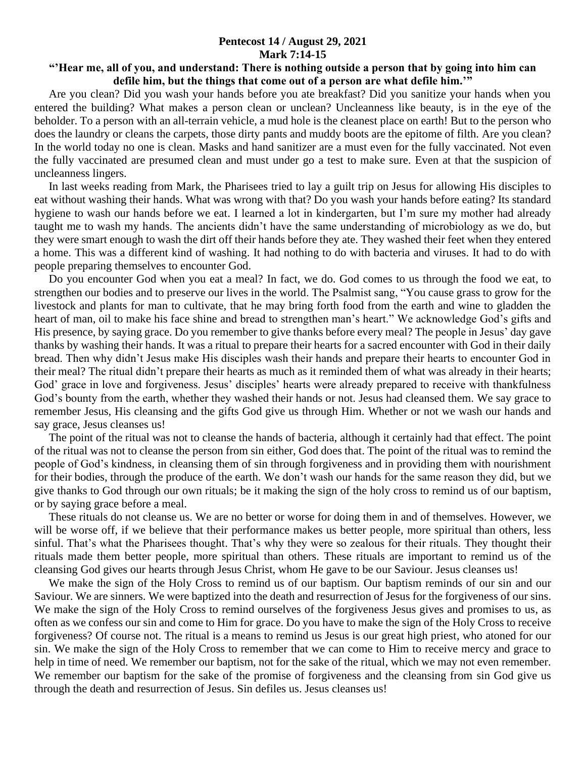## **Pentecost 14 / August 29, 2021 Mark 7:14-15**

## **"'Hear me, all of you, and understand: There is nothing outside a person that by going into him can defile him, but the things that come out of a person are what defile him.'"**

 Are you clean? Did you wash your hands before you ate breakfast? Did you sanitize your hands when you entered the building? What makes a person clean or unclean? Uncleanness like beauty, is in the eye of the beholder. To a person with an all-terrain vehicle, a mud hole is the cleanest place on earth! But to the person who does the laundry or cleans the carpets, those dirty pants and muddy boots are the epitome of filth. Are you clean? In the world today no one is clean. Masks and hand sanitizer are a must even for the fully vaccinated. Not even the fully vaccinated are presumed clean and must under go a test to make sure. Even at that the suspicion of uncleanness lingers.

 In last weeks reading from Mark, the Pharisees tried to lay a guilt trip on Jesus for allowing His disciples to eat without washing their hands. What was wrong with that? Do you wash your hands before eating? Its standard hygiene to wash our hands before we eat. I learned a lot in kindergarten, but I'm sure my mother had already taught me to wash my hands. The ancients didn't have the same understanding of microbiology as we do, but they were smart enough to wash the dirt off their hands before they ate. They washed their feet when they entered a home. This was a different kind of washing. It had nothing to do with bacteria and viruses. It had to do with people preparing themselves to encounter God.

 Do you encounter God when you eat a meal? In fact, we do. God comes to us through the food we eat, to strengthen our bodies and to preserve our lives in the world. The Psalmist sang, "You cause grass to grow for the livestock and plants for man to cultivate, that he may bring forth food from the earth and wine to gladden the heart of man, oil to make his face shine and bread to strengthen man's heart." We acknowledge God's gifts and His presence, by saying grace. Do you remember to give thanks before every meal? The people in Jesus' day gave thanks by washing their hands. It was a ritual to prepare their hearts for a sacred encounter with God in their daily bread. Then why didn't Jesus make His disciples wash their hands and prepare their hearts to encounter God in their meal? The ritual didn't prepare their hearts as much as it reminded them of what was already in their hearts; God' grace in love and forgiveness. Jesus' disciples' hearts were already prepared to receive with thankfulness God's bounty from the earth, whether they washed their hands or not. Jesus had cleansed them. We say grace to remember Jesus, His cleansing and the gifts God give us through Him. Whether or not we wash our hands and say grace, Jesus cleanses us!

 The point of the ritual was not to cleanse the hands of bacteria, although it certainly had that effect. The point of the ritual was not to cleanse the person from sin either, God does that. The point of the ritual was to remind the people of God's kindness, in cleansing them of sin through forgiveness and in providing them with nourishment for their bodies, through the produce of the earth. We don't wash our hands for the same reason they did, but we give thanks to God through our own rituals; be it making the sign of the holy cross to remind us of our baptism, or by saying grace before a meal.

 These rituals do not cleanse us. We are no better or worse for doing them in and of themselves. However, we will be worse off, if we believe that their performance makes us better people, more spiritual than others, less sinful. That's what the Pharisees thought. That's why they were so zealous for their rituals. They thought their rituals made them better people, more spiritual than others. These rituals are important to remind us of the cleansing God gives our hearts through Jesus Christ, whom He gave to be our Saviour. Jesus cleanses us!

 We make the sign of the Holy Cross to remind us of our baptism. Our baptism reminds of our sin and our Saviour. We are sinners. We were baptized into the death and resurrection of Jesus for the forgiveness of our sins. We make the sign of the Holy Cross to remind ourselves of the forgiveness Jesus gives and promises to us, as often as we confess our sin and come to Him for grace. Do you have to make the sign of the Holy Cross to receive forgiveness? Of course not. The ritual is a means to remind us Jesus is our great high priest, who atoned for our sin. We make the sign of the Holy Cross to remember that we can come to Him to receive mercy and grace to help in time of need. We remember our baptism, not for the sake of the ritual, which we may not even remember. We remember our baptism for the sake of the promise of forgiveness and the cleansing from sin God give us through the death and resurrection of Jesus. Sin defiles us. Jesus cleanses us!